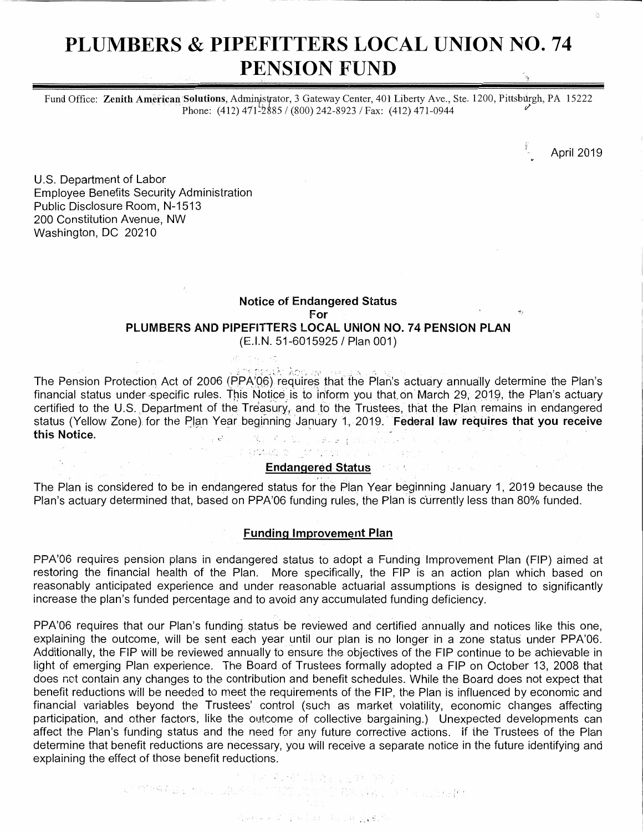# **PLUMBERS** & **PIPEFITTERS LOCAL UNION NO. 74 PENSION FUND**

Fund Office: Zenith American Solutions, Administrator, 3 Gateway Center, 401 Liberty Ave., Ste. 1200, Pittsburgh, PA 15222 Phone: (412) 471<sup>-5</sup>2885 / (800) 242-8923 / Fax: (412) 471-0944

April 2019

U.S. Department of Labor Employee Benefits Security Administration Public Disclosure Room, N-1513 200 Constitution Avenue, NW Washington, DC 20210

# **Notice of Endangered Status For PLUMBERS AND PIPEFITTERS LOCAL UNION NO. 74 PENSION PLAN** (E.I.N. 51-6015925 / Plan 001)

The Pension Protection Act of 2006 (PPA/Q6) requires that the Plan's actuary annually determine the Plan's financial status under specific rules. This Notice is to inform you that on March 29, 2019, the Plan's actuary certified to the U.S. Department of the Treasury, and to the Trustees, that the Plan remains in endangered status (Yellow Zone) for the Plan Year beginning January 1, 2019. **Federal law requires that you receive**<br>**this Notice.**  $\mathbb{P}^1(\mathbb{P}^1_2) = \mathbb{P}^1(\mathbb{P}^1_2) = \mathbb{P}^1(\mathbb{P}^1_2) = \mathbb{P}^1(\mathbb{P}^1_2) = \mathbb{P}^1(\mathbb{P}^1_2) = \mathbb{P}^1(\mathbb{P}^1_2) = \mathbb{P}^1(\mathbb{P}^1_2) = \mathbb{P}^1(\mathbb{P}^1_2) = \mathbb{P}^1(\mathbb{P}^1_2) = \mathbb{P}^1(\mathbb{P}^1_2) = \mathbb{P}^1(\mathbb{P}^1_2) =$  $\epsilon$  ,  $\epsilon$ 

# **Endangered Status**

di groendi di lijjet specialistica (di la provincia e la

The Plan is considered to be in endangered status for the Pian Year beginning January 1, 2019 because the Plan's actuary determined that, based on PPA'06 funding rules, the Plan is currently less than 80% funded.

#### **Funding Improvement Plan**

PPA'06 requires pension plans in endangered status to adopt a Funding Improvement Plan (FIP) aimed at restoring the financial health of the Plan. More specifically, the FIP is an action plan which based on reasonably anticipated experience and under reasonable actuarial assumptions is designed to significantly increase the plan's funded percentage and to avoid any accumulated funding deficiency.

PPA'06 requires that our Plan's funding status be reviewed and certified annually and notices like this one, explaining the outcome, will be sent each year until our plan is no longer in a zone status under PPA'06. Additionally, the FIP will be reviewed annually to ensure the objectives of the FIP continue to be achievable in light of emerging Plan experience. The Board of Trustees formally adopted a FIP on October 13, 2008 that does not contain any changes to the contribution and benefit schedules. While the Board does not expect that benefit reductions will be needed to meet the requirements of the FIP, the Plan is influenced by economic and financial variables beyond the Trustees' control (such as market volatility, economic changes affecting participation, and other factors, like the outcome of collective bargaining.) Unexpected developments can affect the Plan's funding status and the need for any future corrective actions. if the Trustees of the Plan determine that benefit reductions are necessary, you will receive a separate notice in the future identifying and explaining the effect of those benefit reductions.

 $\mathbb{E}\left[\mathbb{E}\left\{ \mathcal{L}_{\mathcal{A}}^{\mathcal{A}}\left(\mathcal{L}_{\mathcal{A}}^{\mathcal{A}}\right) \mathcal{L}_{\mathcal{A}}^{\mathcal{A}}\left(\mathcal{L}_{\mathcal{A}}^{\mathcal{A}}\right) \right\} \right] = \mathbb{E}\left[\mathcal{L}_{\mathcal{A}}^{\mathcal{A}}\left(\mathcal{L}_{\mathcal{A}}^{\mathcal{A}}\right) \mathcal{L}_{\mathcal{A}}^{\mathcal{A}}\left(\mathcal{L}_{\mathcal{A}}^{\mathcal{A}}\right) \right] \right] = \mathbb{E}\left[\mathcal$